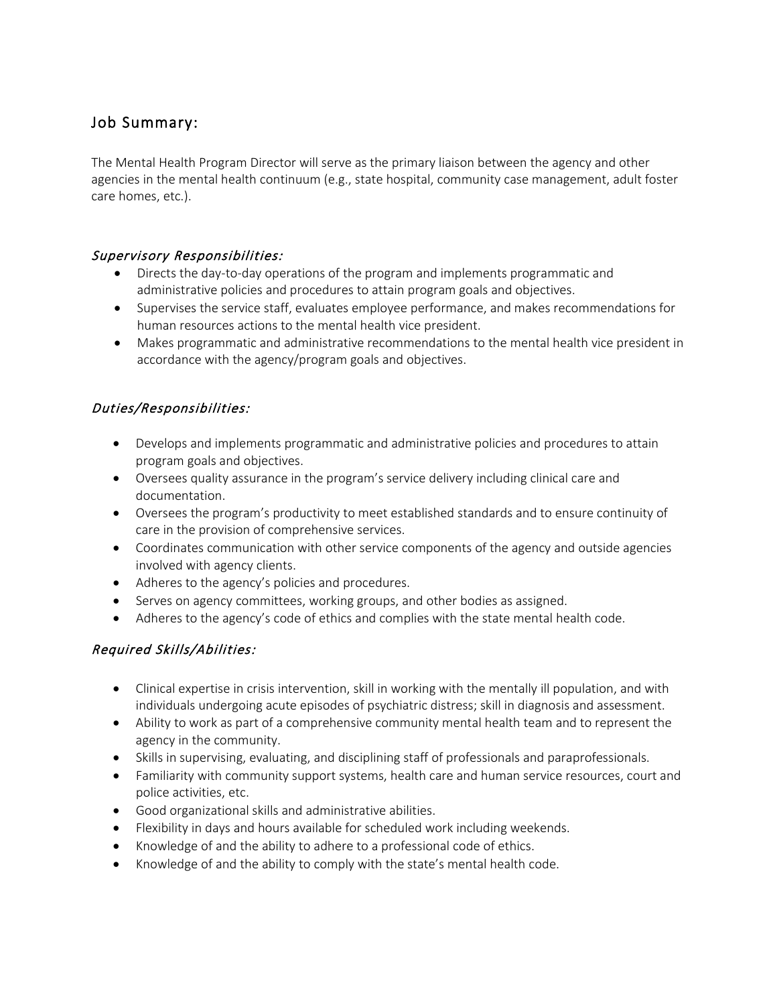# Job Summary:

The Mental Health Program Director will serve as the primary liaison between the agency and other agencies in the mental health continuum (e.g., state hospital, community case management, adult foster care homes, etc.).

#### Supervisory Responsibilities:

- Directs the day-to-day operations of the program and implements programmatic and administrative policies and procedures to attain program goals and objectives.
- Supervises the service staff, evaluates employee performance, and makes recommendations for human resources actions to the mental health vice president.
- Makes programmatic and administrative recommendations to the mental health vice president in accordance with the agency/program goals and objectives.

## Duties/Responsibilities:

- Develops and implements programmatic and administrative policies and procedures to attain program goals and objectives.
- Oversees quality assurance in the program's service delivery including clinical care and documentation.
- Oversees the program's productivity to meet established standards and to ensure continuity of care in the provision of comprehensive services.
- Coordinates communication with other service components of the agency and outside agencies involved with agency clients.
- Adheres to the agency's policies and procedures.
- Serves on agency committees, working groups, and other bodies as assigned.
- Adheres to the agency's code of ethics and complies with the state mental health code.

## Required Skills/Abilities:

- Clinical expertise in crisis intervention, skill in working with the mentally ill population, and with individuals undergoing acute episodes of psychiatric distress; skill in diagnosis and assessment.
- Ability to work as part of a comprehensive community mental health team and to represent the agency in the community.
- Skills in supervising, evaluating, and disciplining staff of professionals and paraprofessionals.
- Familiarity with community support systems, health care and human service resources, court and police activities, etc.
- Good organizational skills and administrative abilities.
- Flexibility in days and hours available for scheduled work including weekends.
- Knowledge of and the ability to adhere to a professional code of ethics.
- Knowledge of and the ability to comply with the state's mental health code.